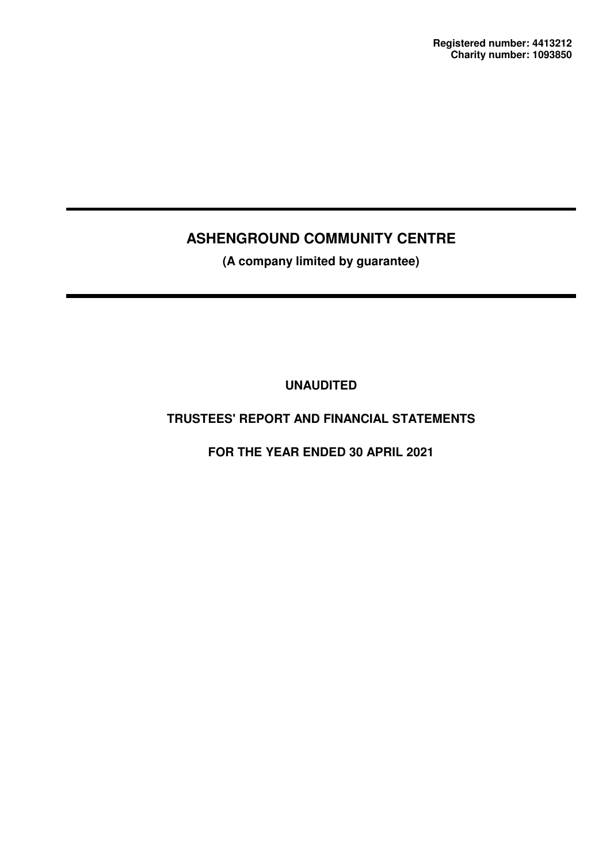**(A company limited by guarantee)**

**UNAUDITED**

# **TRUSTEES' REPORT AND FINANCIAL STATEMENTS**

**FOR THE YEAR ENDED 30 APRIL 2021**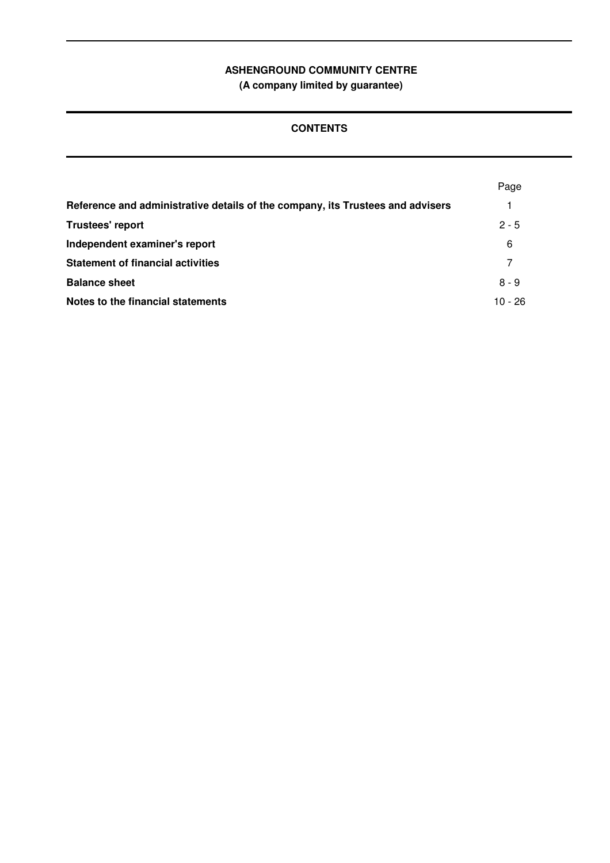**(A company limited by guarantee)**

## **CONTENTS**

|                                                                                | Page      |
|--------------------------------------------------------------------------------|-----------|
| Reference and administrative details of the company, its Trustees and advisers | 1         |
| <b>Trustees' report</b>                                                        | $2 - 5$   |
| Independent examiner's report                                                  | 6         |
| <b>Statement of financial activities</b>                                       | 7         |
| <b>Balance sheet</b>                                                           | $8 - 9$   |
| Notes to the financial statements                                              | $10 - 26$ |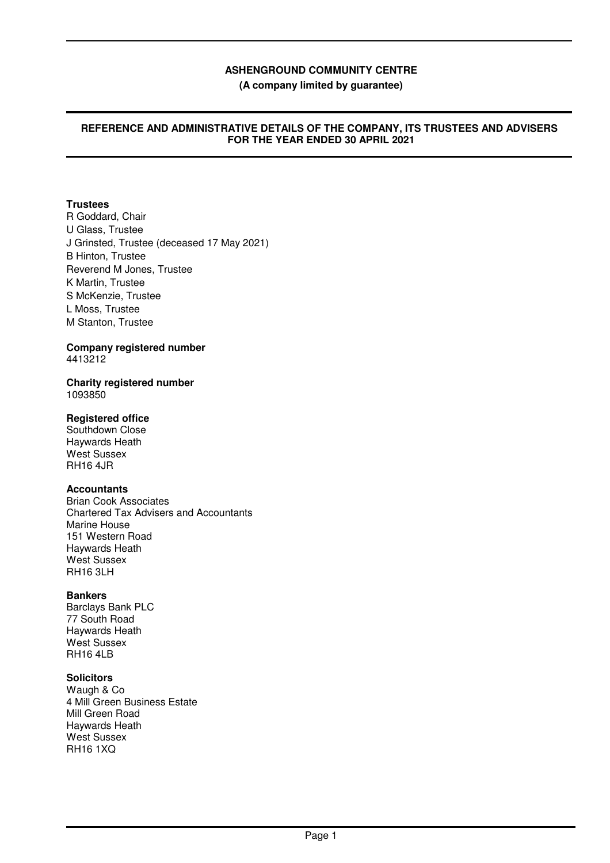**(A company limited by guarantee)**

### **REFERENCE AND ADMINISTRATIVE DETAILS OF THE COMPANY, ITS TRUSTEES AND ADVISERS FOR THE YEAR ENDED 30 APRIL 2021**

#### **Trustees**

R Goddard, Chair U Glass, Trustee J Grinsted, Trustee (deceased 17 May 2021) B Hinton, Trustee Reverend M Jones, Trustee K Martin, Trustee S McKenzie, Trustee L Moss, Trustee M Stanton, Trustee

#### **Company registered number** 4413212

#### **Charity registered number** 1093850

### **Registered office**

Southdown Close Haywards Heath West Sussex RH16 4JR

## **Accountants**

Brian Cook Associates Chartered Tax Advisers and Accountants Marine House 151 Western Road Haywards Heath West Sussex RH16 3LH

### **Bankers**

Barclays Bank PLC 77 South Road Haywards Heath West Sussex RH16 4LB

## **Solicitors**

Waugh & Co 4 Mill Green Business Estate Mill Green Road Haywards Heath West Sussex RH16 1XQ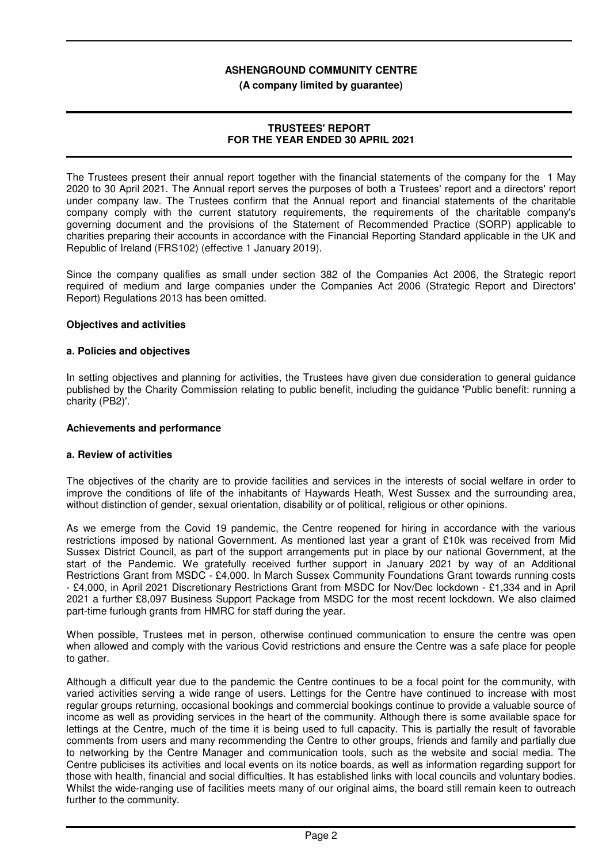**(A company limited by guarantee)**

### **TRUSTEES' REPORT FOR THE YEAR ENDED 30 APRIL 2021**

The Trustees present their annual report together with the financial statements of the company for the 1 May 2020 to 30 April 2021. The Annual report serves the purposes of both a Trustees' report and a directors' report under company law. The Trustees confirm that the Annual report and financial statements of the charitable company comply with the current statutory requirements, the requirements of the charitable company's governing document and the provisions of the Statement of Recommended Practice (SORP) applicable to charities preparing their accounts in accordance with the Financial Reporting Standard applicable in the UK and Republic of Ireland (FRS102) (effective 1 January 2019).

Since the company qualifies as small under section 382 of the Companies Act 2006, the Strategic report required of medium and large companies under the Companies Act 2006 (Strategic Report and Directors' Report) Regulations 2013 has been omitted.

#### **Objectives and activities**

### **a. Policies and objectives**

In setting objectives and planning for activities, the Trustees have given due consideration to general guidance published by the Charity Commission relating to public benefit, including the guidance 'Public benefit: running a charity (PB2)'.

#### **Achievements and performance**

### **a. Review of activities**

The objectives of the charity are to provide facilities and services in the interests of social welfare in order to improve the conditions of life of the inhabitants of Haywards Heath, West Sussex and the surrounding area, without distinction of gender, sexual orientation, disability or of political, religious or other opinions.

As we emerge from the Covid 19 pandemic, the Centre reopened for hiring in accordance with the various restrictions imposed by national Government. As mentioned last year a grant of £10k was received from Mid Sussex District Council, as part of the support arrangements put in place by our national Government, at the start of the Pandemic. We gratefully received further support in January 2021 by way of an Additional Restrictions Grant from MSDC - £4,000. In March Sussex Community Foundations Grant towards running costs - £4,000, in April 2021 Discretionary Restrictions Grant from MSDC for Nov/Dec lockdown - £1,334 and in April 2021 a further £8,097 Business Support Package from MSDC for the most recent lockdown. We also claimed part-time furlough grants from HMRC for staff during the year.

When possible, Trustees met in person, otherwise continued communication to ensure the centre was open when allowed and comply with the various Covid restrictions and ensure the Centre was a safe place for people to gather.

Although a difficult year due to the pandemic the Centre continues to be a focal point for the community, with varied activities serving a wide range of users. Lettings for the Centre have continued to increase with most regular groups returning, occasional bookings and commercial bookings continue to provide a valuable source of income as well as providing services in the heart of the community. Although there is some available space for lettings at the Centre, much of the time it is being used to full capacity. This is partially the result of favorable comments from users and many recommending the Centre to other groups, friends and family and partially due to networking by the Centre Manager and communication tools, such as the website and social media. The Centre publicises its activities and local events on its notice boards, as well as information regarding support for those with health, financial and social difficulties. It has established links with local councils and voluntary bodies. Whilst the wide-ranging use of facilities meets many of our original aims, the board still remain keen to outreach further to the community.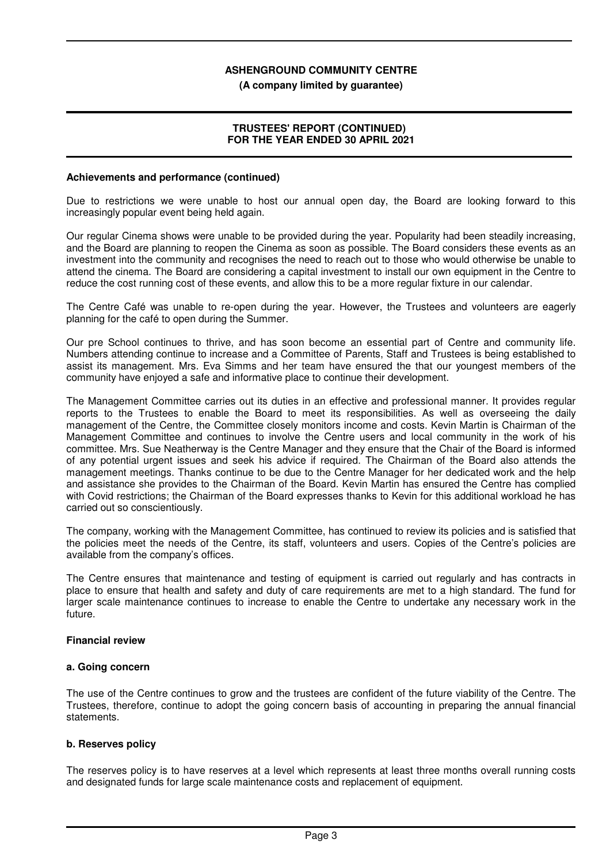**(A company limited by guarantee)**

### **TRUSTEES' REPORT (CONTINUED) FOR THE YEAR ENDED 30 APRIL 2021**

#### **Achievements and performance (continued)**

Due to restrictions we were unable to host our annual open day, the Board are looking forward to this increasingly popular event being held again.

Our regular Cinema shows were unable to be provided during the year. Popularity had been steadily increasing, and the Board are planning to reopen the Cinema as soon as possible. The Board considers these events as an investment into the community and recognises the need to reach out to those who would otherwise be unable to attend the cinema. The Board are considering a capital investment to install our own equipment in the Centre to reduce the cost running cost of these events, and allow this to be a more regular fixture in our calendar.

The Centre Café was unable to re-open during the year. However, the Trustees and volunteers are eagerly planning for the café to open during the Summer.

Our pre School continues to thrive, and has soon become an essential part of Centre and community life. Numbers attending continue to increase and a Committee of Parents, Staff and Trustees is being established to assist its management. Mrs. Eva Simms and her team have ensured the that our youngest members of the community have enjoyed a safe and informative place to continue their development.

The Management Committee carries out its duties in an effective and professional manner. It provides regular reports to the Trustees to enable the Board to meet its responsibilities. As well as overseeing the daily management of the Centre, the Committee closely monitors income and costs. Kevin Martin is Chairman of the Management Committee and continues to involve the Centre users and local community in the work of his committee. Mrs. Sue Neatherway is the Centre Manager and they ensure that the Chair of the Board is informed of any potential urgent issues and seek his advice if required. The Chairman of the Board also attends the management meetings. Thanks continue to be due to the Centre Manager for her dedicated work and the help and assistance she provides to the Chairman of the Board. Kevin Martin has ensured the Centre has complied with Covid restrictions; the Chairman of the Board expresses thanks to Kevin for this additional workload he has carried out so conscientiously.

The company, working with the Management Committee, has continued to review its policies and is satisfied that the policies meet the needs of the Centre, its staff, volunteers and users. Copies of the Centre's policies are available from the company's offices.

The Centre ensures that maintenance and testing of equipment is carried out regularly and has contracts in place to ensure that health and safety and duty of care requirements are met to a high standard. The fund for larger scale maintenance continues to increase to enable the Centre to undertake any necessary work in the future.

### **Financial review**

#### **a. Going concern**

The use of the Centre continues to grow and the trustees are confident of the future viability of the Centre. The Trustees, therefore, continue to adopt the going concern basis of accounting in preparing the annual financial statements.

### **b. Reserves policy**

The reserves policy is to have reserves at a level which represents at least three months overall running costs and designated funds for large scale maintenance costs and replacement of equipment.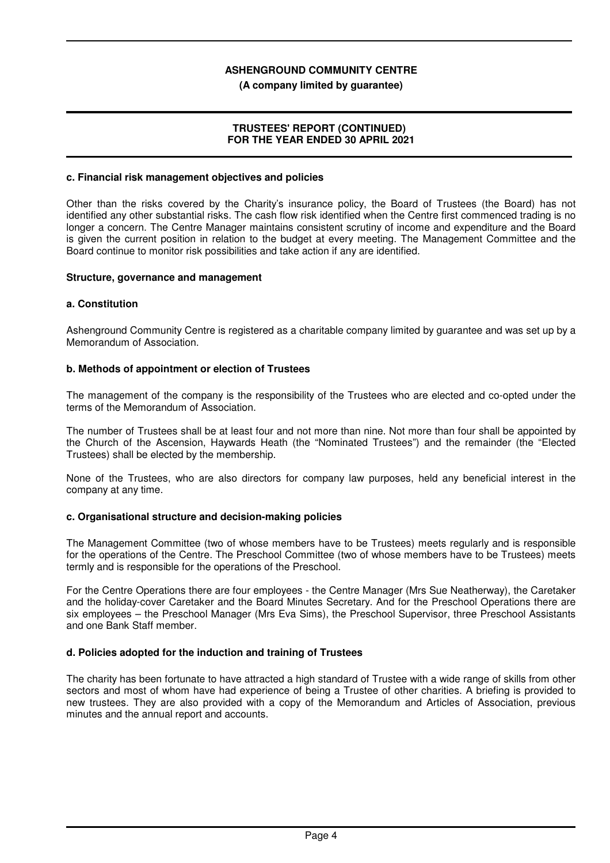**(A company limited by guarantee)**

### **TRUSTEES' REPORT (CONTINUED) FOR THE YEAR ENDED 30 APRIL 2021**

#### **c. Financial risk management objectives and policies**

Other than the risks covered by the Charity's insurance policy, the Board of Trustees (the Board) has not identified any other substantial risks. The cash flow risk identified when the Centre first commenced trading is no longer a concern. The Centre Manager maintains consistent scrutiny of income and expenditure and the Board is given the current position in relation to the budget at every meeting. The Management Committee and the Board continue to monitor risk possibilities and take action if any are identified.

#### **Structure, governance and management**

#### **a. Constitution**

Ashenground Community Centre is registered as a charitable company limited by guarantee and was set up by a Memorandum of Association.

### **b. Methods of appointment or election of Trustees**

The management of the company is the responsibility of the Trustees who are elected and co-opted under the terms of the Memorandum of Association.

The number of Trustees shall be at least four and not more than nine. Not more than four shall be appointed by the Church of the Ascension, Haywards Heath (the "Nominated Trustees") and the remainder (the "Elected Trustees) shall be elected by the membership.

None of the Trustees, who are also directors for company law purposes, held any beneficial interest in the company at any time.

#### **c. Organisational structure and decision-making policies**

The Management Committee (two of whose members have to be Trustees) meets regularly and is responsible for the operations of the Centre. The Preschool Committee (two of whose members have to be Trustees) meets termly and is responsible for the operations of the Preschool.

For the Centre Operations there are four employees - the Centre Manager (Mrs Sue Neatherway), the Caretaker and the holiday-cover Caretaker and the Board Minutes Secretary. And for the Preschool Operations there are six employees – the Preschool Manager (Mrs Eva Sims), the Preschool Supervisor, three Preschool Assistants and one Bank Staff member.

#### **d. Policies adopted for the induction and training of Trustees**

The charity has been fortunate to have attracted a high standard of Trustee with a wide range of skills from other sectors and most of whom have had experience of being a Trustee of other charities. A briefing is provided to new trustees. They are also provided with a copy of the Memorandum and Articles of Association, previous minutes and the annual report and accounts.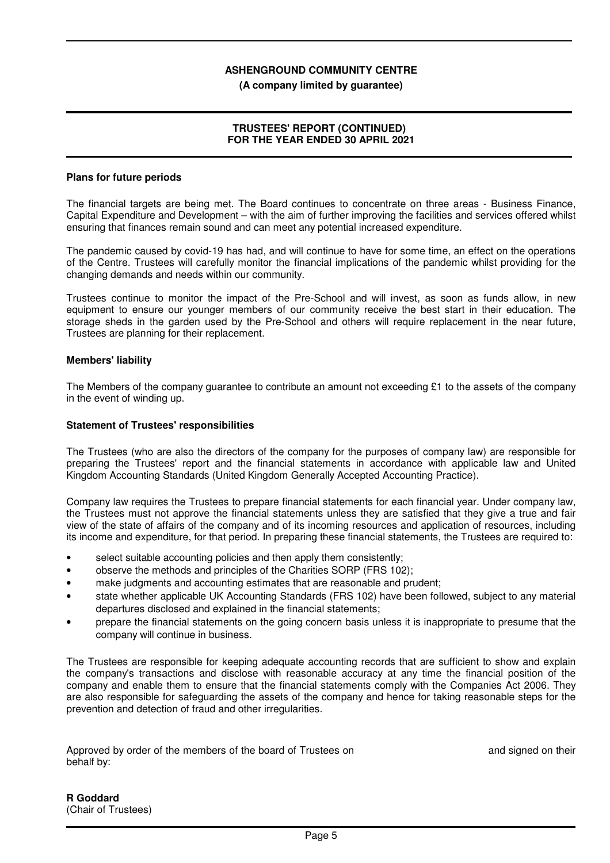#### **(A company limited by guarantee)**

### **TRUSTEES' REPORT (CONTINUED) FOR THE YEAR ENDED 30 APRIL 2021**

#### **Plans for future periods**

The financial targets are being met. The Board continues to concentrate on three areas - Business Finance, Capital Expenditure and Development – with the aim of further improving the facilities and services offered whilst ensuring that finances remain sound and can meet any potential increased expenditure.

The pandemic caused by covid-19 has had, and will continue to have for some time, an effect on the operations of the Centre. Trustees will carefully monitor the financial implications of the pandemic whilst providing for the changing demands and needs within our community.

Trustees continue to monitor the impact of the Pre-School and will invest, as soon as funds allow, in new equipment to ensure our younger members of our community receive the best start in their education. The storage sheds in the garden used by the Pre-School and others will require replacement in the near future, Trustees are planning for their replacement.

#### **Members' liability**

The Members of the company guarantee to contribute an amount not exceeding  $£1$  to the assets of the company in the event of winding up.

#### **Statement of Trustees' responsibilities**

The Trustees (who are also the directors of the company for the purposes of company law) are responsible for preparing the Trustees' report and the financial statements in accordance with applicable law and United Kingdom Accounting Standards (United Kingdom Generally Accepted Accounting Practice).

Company law requires the Trustees to prepare financial statements for each financial year. Under company law, the Trustees must not approve the financial statements unless they are satisfied that they give a true and fair view of the state of affairs of the company and of its incoming resources and application of resources, including its income and expenditure, for that period. In preparing these financial statements, the Trustees are required to:

- select suitable accounting policies and then apply them consistently;
- observe the methods and principles of the Charities SORP (FRS 102);
- make judgments and accounting estimates that are reasonable and prudent;
- state whether applicable UK Accounting Standards (FRS 102) have been followed, subject to any material departures disclosed and explained in the financial statements;
- prepare the financial statements on the going concern basis unless it is inappropriate to presume that the company will continue in business.

The Trustees are responsible for keeping adequate accounting records that are sufficient to show and explain the company's transactions and disclose with reasonable accuracy at any time the financial position of the company and enable them to ensure that the financial statements comply with the Companies Act 2006. They are also responsible for safeguarding the assets of the company and hence for taking reasonable steps for the prevention and detection of fraud and other irregularities.

Approved by order of the members of the board of Trustees on and signed on their behalf by:

**R Goddard** (Chair of Trustees)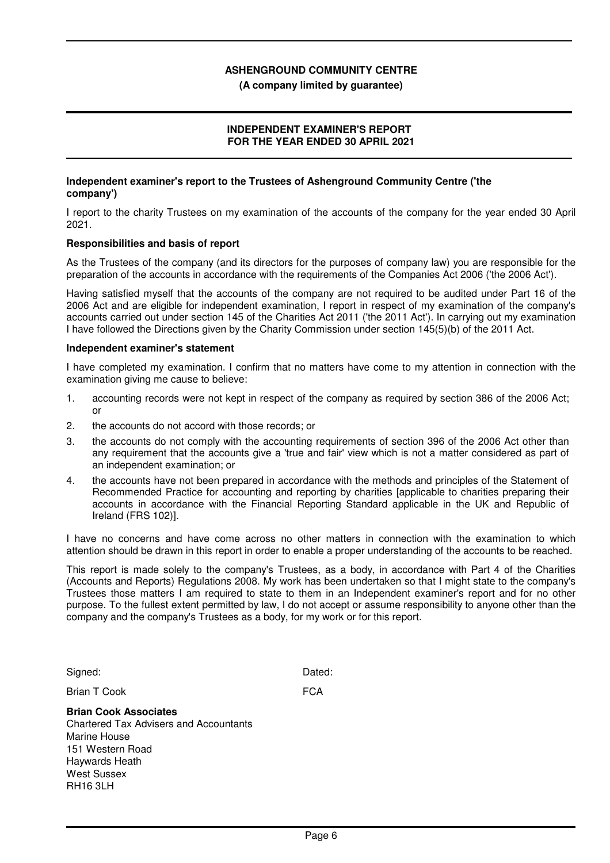**(A company limited by guarantee)**

#### **INDEPENDENT EXAMINER'S REPORT FOR THE YEAR ENDED 30 APRIL 2021**

#### **Independent examiner's report to the Trustees of Ashenground Community Centre ('the company')**

I report to the charity Trustees on my examination of the accounts of the company for the year ended 30 April 2021.

#### **Responsibilities and basis of report**

As the Trustees of the company (and its directors for the purposes of company law) you are responsible for the preparation of the accounts in accordance with the requirements of the Companies Act 2006 ('the 2006 Act').

Having satisfied myself that the accounts of the company are not required to be audited under Part 16 of the 2006 Act and are eligible for independent examination, I report in respect of my examination of the company's accounts carried out under section 145 of the Charities Act 2011 ('the 2011 Act'). In carrying out my examination I have followed the Directions given by the Charity Commission under section 145(5)(b) of the 2011 Act.

#### **Independent examiner's statement**

I have completed my examination. I confirm that no matters have come to my attention in connection with the examination giving me cause to believe:

- 1. accounting records were not kept in respect of the company as required by section 386 of the 2006 Act; or
- 2. the accounts do not accord with those records; or
- 3. the accounts do not comply with the accounting requirements of section 396 of the 2006 Act other than any requirement that the accounts give a 'true and fair' view which is not a matter considered as part of an independent examination; or
- 4. the accounts have not been prepared in accordance with the methods and principles of the Statement of Recommended Practice for accounting and reporting by charities [applicable to charities preparing their accounts in accordance with the Financial Reporting Standard applicable in the UK and Republic of Ireland (FRS 102)].

I have no concerns and have come across no other matters in connection with the examination to which attention should be drawn in this report in order to enable a proper understanding of the accounts to be reached.

This report is made solely to the company's Trustees, as a body, in accordance with Part 4 of the Charities (Accounts and Reports) Regulations 2008. My work has been undertaken so that I might state to the company's Trustees those matters I am required to state to them in an Independent examiner's report and for no other purpose. To the fullest extent permitted by law, I do not accept or assume responsibility to anyone other than the company and the company's Trustees as a body, for my work or for this report.

Signed: **Dated: Dated: Dated: Dated: Dated: Dated: Dated: Dated: Dated: Dated: Dated: Dated: Dated: Dated: Dated: Dated: Dated: Dated: Dated: Dated: Dated: Dated: Dated: Dated:** 

Brian T Cook **FCA** 

**Brian Cook Associates**

Chartered Tax Advisers and Accountants Marine House 151 Western Road Haywards Heath West Sussex RH16 3LH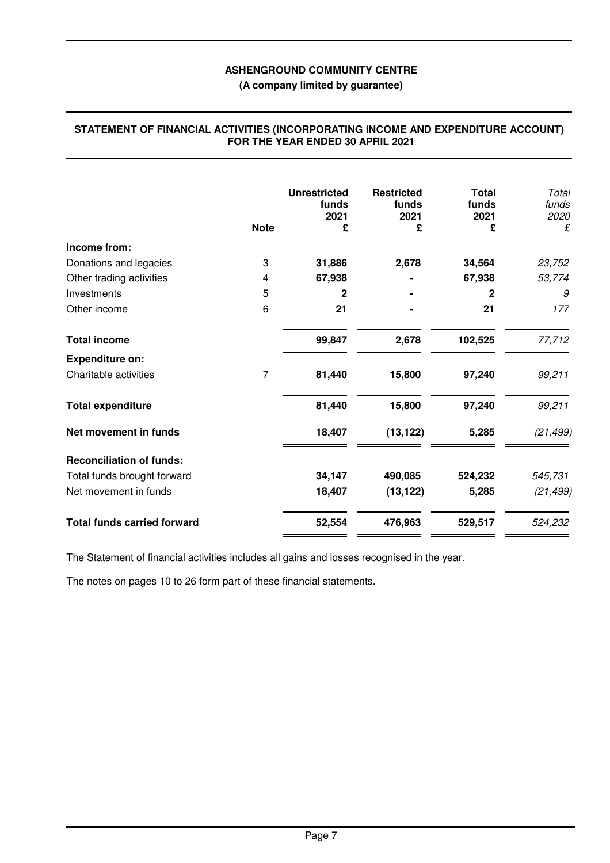**(A company limited by guarantee)**

|                                    |                | <b>Unrestricted</b><br>funds<br>2021 | <b>Restricted</b><br>funds<br>2021 | <b>Total</b><br>funds<br>2021 | Total<br>funds<br>2020 |
|------------------------------------|----------------|--------------------------------------|------------------------------------|-------------------------------|------------------------|
|                                    | <b>Note</b>    | £                                    | £                                  | £                             | £                      |
| Income from:                       |                |                                      |                                    |                               |                        |
| Donations and legacies             | 3              | 31,886                               | 2,678                              | 34,564                        | 23,752                 |
| Other trading activities           | 4              | 67,938                               |                                    | 67,938                        | 53,774                 |
| Investments                        | 5              | $\mathbf{2}$                         |                                    | $\mathbf 2$                   | 9                      |
| Other income                       | 6              | 21                                   |                                    | 21                            | 177                    |
| <b>Total income</b>                |                | 99,847                               | 2,678                              | 102,525                       | 77,712                 |
| <b>Expenditure on:</b>             |                |                                      |                                    |                               |                        |
| Charitable activities              | $\overline{7}$ | 81,440                               | 15,800                             | 97,240                        | 99,211                 |
| <b>Total expenditure</b>           |                | 81,440                               | 15,800                             | 97,240                        | 99,211                 |
| Net movement in funds              |                | 18,407                               | (13, 122)                          | 5,285                         | (21, 499)              |
| <b>Reconciliation of funds:</b>    |                |                                      |                                    |                               |                        |
| Total funds brought forward        |                | 34,147                               | 490,085                            | 524,232                       | 545,731                |
| Net movement in funds              |                | 18,407                               | (13, 122)                          | 5,285                         | (21, 499)              |
| <b>Total funds carried forward</b> |                | 52,554                               | 476,963                            | 529,517                       | 524,232                |

#### **STATEMENT OF FINANCIAL ACTIVITIES (INCORPORATING INCOME AND EXPENDITURE ACCOUNT) FOR THE YEAR ENDED 30 APRIL 2021**

The Statement of financial activities includes all gains and losses recognised in the year.

The notes on pages 10 to 26 form part of these financial statements.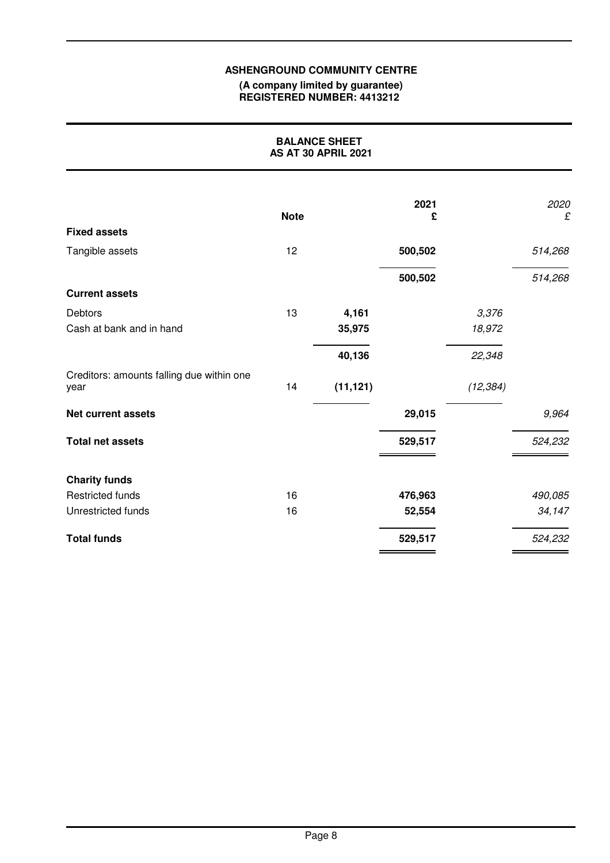#### **(A company limited by guarantee) REGISTERED NUMBER: 4413212**

| <b>BALANCE SHEET</b><br><b>AS AT 30 APRIL 2021</b> |             |           |           |           |           |  |
|----------------------------------------------------|-------------|-----------|-----------|-----------|-----------|--|
|                                                    | <b>Note</b> |           | 2021<br>£ |           | 2020<br>£ |  |
| <b>Fixed assets</b>                                |             |           |           |           |           |  |
| Tangible assets                                    | 12          |           | 500,502   |           | 514,268   |  |
|                                                    |             |           | 500,502   |           | 514,268   |  |
| <b>Current assets</b>                              |             |           |           |           |           |  |
| Debtors                                            | 13          | 4,161     |           | 3,376     |           |  |
| Cash at bank and in hand                           |             | 35,975    |           | 18,972    |           |  |
|                                                    |             | 40,136    |           | 22,348    |           |  |
| Creditors: amounts falling due within one<br>year  | 14          | (11, 121) |           | (12, 384) |           |  |
| <b>Net current assets</b>                          |             |           | 29,015    |           | 9,964     |  |
| <b>Total net assets</b>                            |             |           | 529,517   |           | 524,232   |  |
| <b>Charity funds</b>                               |             |           |           |           |           |  |
| <b>Restricted funds</b>                            | 16          |           | 476,963   |           | 490,085   |  |
| Unrestricted funds                                 | 16          |           | 52,554    |           | 34,147    |  |
| <b>Total funds</b>                                 |             |           | 529,517   |           | 524,232   |  |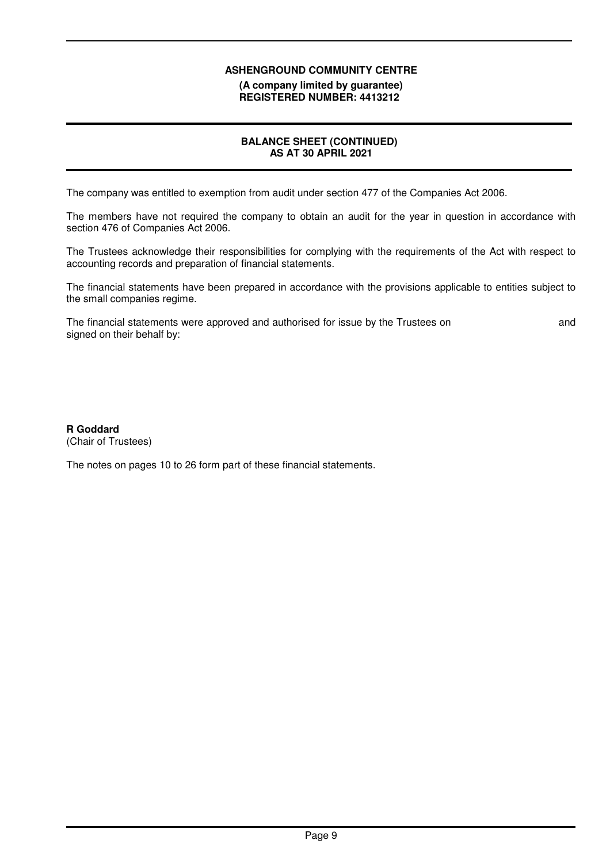#### **(A company limited by guarantee) REGISTERED NUMBER: 4413212**

## **BALANCE SHEET (CONTINUED) AS AT 30 APRIL 2021**

The company was entitled to exemption from audit under section 477 of the Companies Act 2006.

The members have not required the company to obtain an audit for the year in question in accordance with section 476 of Companies Act 2006.

The Trustees acknowledge their responsibilities for complying with the requirements of the Act with respect to accounting records and preparation of financial statements.

The financial statements have been prepared in accordance with the provisions applicable to entities subject to the small companies regime.

The financial statements were approved and authorised for issue by the Trustees on and and signed on their behalf by:

**R Goddard** (Chair of Trustees)

The notes on pages 10 to 26 form part of these financial statements.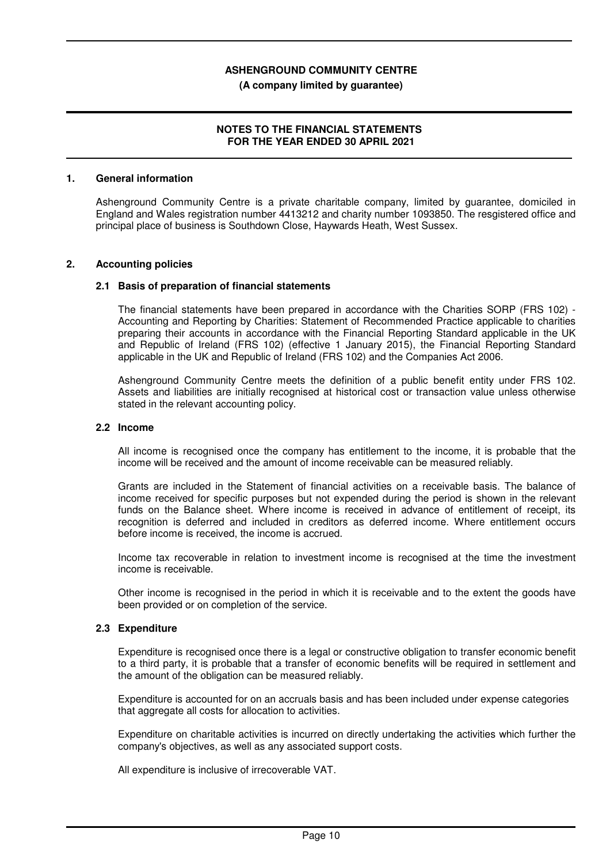#### **(A company limited by guarantee)**

#### **NOTES TO THE FINANCIAL STATEMENTS FOR THE YEAR ENDED 30 APRIL 2021**

#### **1. General information**

Ashenground Community Centre is a private charitable company, limited by guarantee, domiciled in England and Wales registration number 4413212 and charity number 1093850. The resgistered office and principal place of business is Southdown Close, Haywards Heath, West Sussex.

#### **2. Accounting policies**

#### **2.1 Basis of preparation of financial statements**

The financial statements have been prepared in accordance with the Charities SORP (FRS 102) - Accounting and Reporting by Charities: Statement of Recommended Practice applicable to charities preparing their accounts in accordance with the Financial Reporting Standard applicable in the UK and Republic of Ireland (FRS 102) (effective 1 January 2015), the Financial Reporting Standard applicable in the UK and Republic of Ireland (FRS 102) and the Companies Act 2006.

Ashenground Community Centre meets the definition of a public benefit entity under FRS 102. Assets and liabilities are initially recognised at historical cost or transaction value unless otherwise stated in the relevant accounting policy.

#### **2.2 Income**

All income is recognised once the company has entitlement to the income, it is probable that the income will be received and the amount of income receivable can be measured reliably.

Grants are included in the Statement of financial activities on a receivable basis. The balance of income received for specific purposes but not expended during the period is shown in the relevant funds on the Balance sheet. Where income is received in advance of entitlement of receipt, its recognition is deferred and included in creditors as deferred income. Where entitlement occurs before income is received, the income is accrued.

Income tax recoverable in relation to investment income is recognised at the time the investment income is receivable.

Other income is recognised in the period in which it is receivable and to the extent the goods have been provided or on completion of the service.

#### **2.3 Expenditure**

Expenditure is recognised once there is a legal or constructive obligation to transfer economic benefit to a third party, it is probable that a transfer of economic benefits will be required in settlement and the amount of the obligation can be measured reliably.

Expenditure is accounted for on an accruals basis and has been included under expense categories that aggregate all costs for allocation to activities.

Expenditure on charitable activities is incurred on directly undertaking the activities which further the company's objectives, as well as any associated support costs.

All expenditure is inclusive of irrecoverable VAT.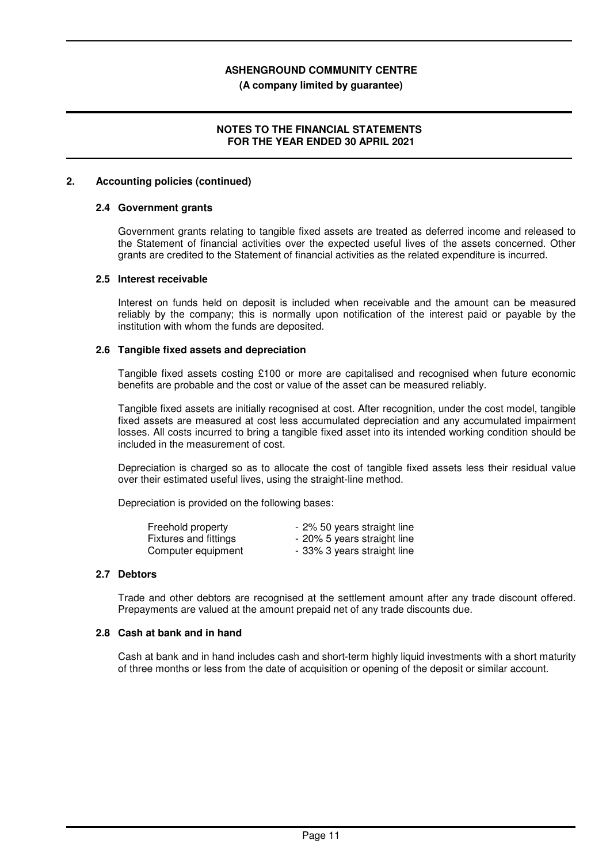**(A company limited by guarantee)**

### **NOTES TO THE FINANCIAL STATEMENTS FOR THE YEAR ENDED 30 APRIL 2021**

#### **2. Accounting policies (continued)**

#### **2.4 Government grants**

Government grants relating to tangible fixed assets are treated as deferred income and released to the Statement of financial activities over the expected useful lives of the assets concerned. Other grants are credited to the Statement of financial activities as the related expenditure is incurred.

#### **2.5 Interest receivable**

Interest on funds held on deposit is included when receivable and the amount can be measured reliably by the company; this is normally upon notification of the interest paid or payable by the institution with whom the funds are deposited.

#### **2.6 Tangible fixed assets and depreciation**

Tangible fixed assets costing £100 or more are capitalised and recognised when future economic benefits are probable and the cost or value of the asset can be measured reliably.

Tangible fixed assets are initially recognised at cost. After recognition, under the cost model, tangible fixed assets are measured at cost less accumulated depreciation and any accumulated impairment losses. All costs incurred to bring a tangible fixed asset into its intended working condition should be included in the measurement of cost.

Depreciation is charged so as to allocate the cost of tangible fixed assets less their residual value over their estimated useful lives, using the straight-line method.

Depreciation is provided on the following bases:

| Freehold property     | - 2% 50 years straight line |
|-----------------------|-----------------------------|
| Fixtures and fittings | - 20% 5 years straight line |
| Computer equipment    | - 33% 3 years straight line |

### **2.7 Debtors**

Trade and other debtors are recognised at the settlement amount after any trade discount offered. Prepayments are valued at the amount prepaid net of any trade discounts due.

#### **2.8 Cash at bank and in hand**

Cash at bank and in hand includes cash and short-term highly liquid investments with a short maturity of three months or less from the date of acquisition or opening of the deposit or similar account.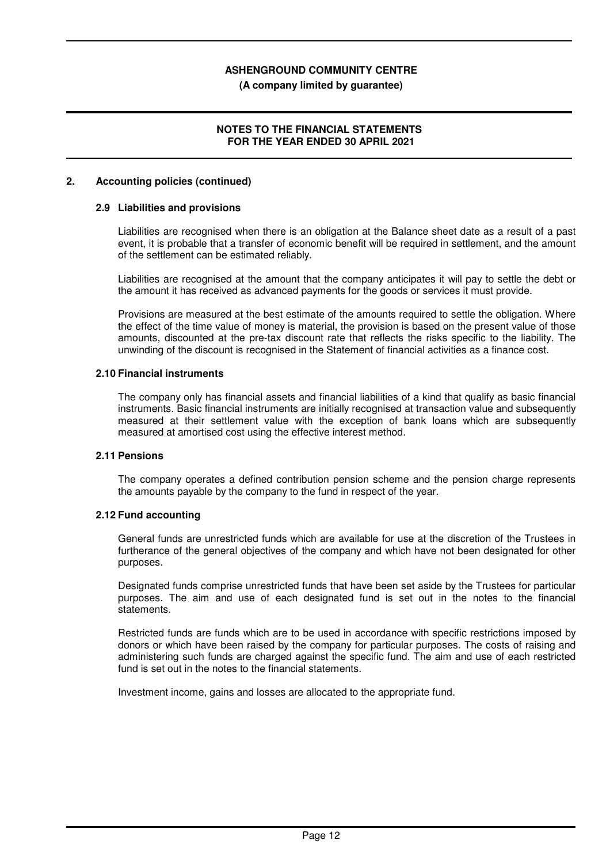**(A company limited by guarantee)**

### **NOTES TO THE FINANCIAL STATEMENTS FOR THE YEAR ENDED 30 APRIL 2021**

#### **2. Accounting policies (continued)**

#### **2.9 Liabilities and provisions**

Liabilities are recognised when there is an obligation at the Balance sheet date as a result of a past event, it is probable that a transfer of economic benefit will be required in settlement, and the amount of the settlement can be estimated reliably.

Liabilities are recognised at the amount that the company anticipates it will pay to settle the debt or the amount it has received as advanced payments for the goods or services it must provide.

Provisions are measured at the best estimate of the amounts required to settle the obligation. Where the effect of the time value of money is material, the provision is based on the present value of those amounts, discounted at the pre-tax discount rate that reflects the risks specific to the liability. The unwinding of the discount is recognised in the Statement of financial activities as a finance cost.

#### **2.10 Financial instruments**

The company only has financial assets and financial liabilities of a kind that qualify as basic financial instruments. Basic financial instruments are initially recognised at transaction value and subsequently measured at their settlement value with the exception of bank loans which are subsequently measured at amortised cost using the effective interest method.

#### **2.11 Pensions**

The company operates a defined contribution pension scheme and the pension charge represents the amounts payable by the company to the fund in respect of the year.

### **2.12 Fund accounting**

General funds are unrestricted funds which are available for use at the discretion of the Trustees in furtherance of the general objectives of the company and which have not been designated for other purposes.

Designated funds comprise unrestricted funds that have been set aside by the Trustees for particular purposes. The aim and use of each designated fund is set out in the notes to the financial statements.

Restricted funds are funds which are to be used in accordance with specific restrictions imposed by donors or which have been raised by the company for particular purposes. The costs of raising and administering such funds are charged against the specific fund. The aim and use of each restricted fund is set out in the notes to the financial statements.

Investment income, gains and losses are allocated to the appropriate fund.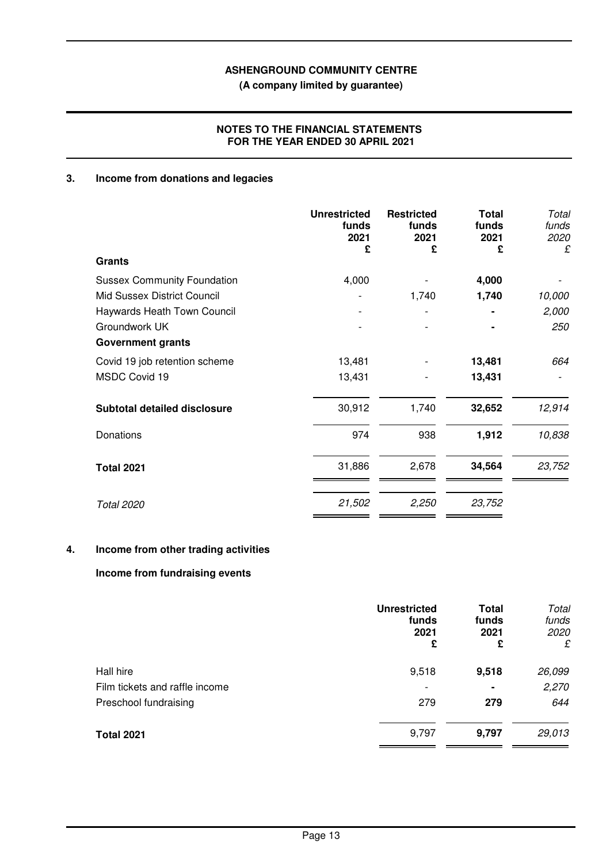**(A company limited by guarantee)**

### **NOTES TO THE FINANCIAL STATEMENTS FOR THE YEAR ENDED 30 APRIL 2021**

## **3. Income from donations and legacies**

|                                    | <b>Unrestricted</b><br>funds<br>2021<br>£ | <b>Restricted</b><br>funds<br>2021<br>£ | <b>Total</b><br>funds<br>2021<br>£ | Total<br>funds<br>2020<br>£ |
|------------------------------------|-------------------------------------------|-----------------------------------------|------------------------------------|-----------------------------|
| <b>Grants</b>                      |                                           |                                         |                                    |                             |
| <b>Sussex Community Foundation</b> | 4,000                                     |                                         | 4,000                              |                             |
| Mid Sussex District Council        |                                           | 1,740                                   | 1,740                              | 10,000                      |
| Haywards Heath Town Council        |                                           |                                         |                                    | 2,000                       |
| Groundwork UK                      |                                           |                                         |                                    | 250                         |
| <b>Government grants</b>           |                                           |                                         |                                    |                             |
| Covid 19 job retention scheme      | 13,481                                    |                                         | 13,481                             | 664                         |
| <b>MSDC Covid 19</b>               | 13,431                                    |                                         | 13,431                             |                             |
| Subtotal detailed disclosure       | 30,912                                    | 1,740                                   | 32,652                             | 12,914                      |
| Donations                          | 974                                       | 938                                     | 1,912                              | 10,838                      |
| <b>Total 2021</b>                  | 31,886                                    | 2,678                                   | 34,564                             | 23,752                      |
| <b>Total 2020</b>                  | 21,502                                    | 2,250                                   | 23,752                             |                             |

## **4. Income from other trading activities**

### **Income from fundraising events**

|                                | <b>Unrestricted</b><br>funds<br>2021<br>£ | Total<br>funds<br>2021<br>£ | Total<br>funds<br>2020<br>£ |
|--------------------------------|-------------------------------------------|-----------------------------|-----------------------------|
| Hall hire                      | 9,518                                     | 9,518                       | 26,099                      |
| Film tickets and raffle income | ٠                                         | $\blacksquare$              | 2,270                       |
| Preschool fundraising          | 279                                       | 279                         | 644                         |
| <b>Total 2021</b>              | 9,797                                     | 9,797                       | 29,013                      |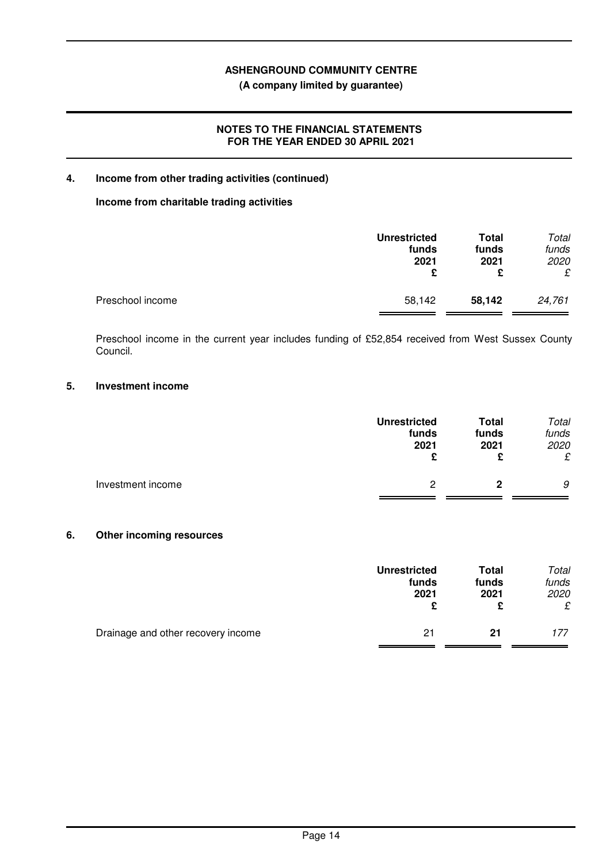**(A company limited by guarantee)**

### **NOTES TO THE FINANCIAL STATEMENTS FOR THE YEAR ENDED 30 APRIL 2021**

### **4. Income from other trading activities (continued)**

## **Income from charitable trading activities**

|                  | <b>Unrestricted</b> | Total  | Total  |
|------------------|---------------------|--------|--------|
|                  | funds               | funds  | funds  |
|                  | 2021                | 2021   | 2020   |
|                  | £                   | £      | £      |
| Preschool income | 58,142              | 58,142 | 24.761 |

Preschool income in the current year includes funding of £52,854 received from West Sussex County Council.

### **5. Investment income**

|                   | <b>Unrestricted</b><br>funds<br>2021 | Total<br>funds<br>2021 | Total<br>funds<br>2020<br>£ |
|-------------------|--------------------------------------|------------------------|-----------------------------|
| Investment income | 2                                    | 2                      | 9                           |
|                   |                                      |                        |                             |

## **6. Other incoming resources**

|                                    | <b>Unrestricted</b><br>funds<br>2021 | Total<br>funds<br>2021<br>£ | Total<br>funds<br>2020<br>£ |
|------------------------------------|--------------------------------------|-----------------------------|-----------------------------|
| Drainage and other recovery income | 21                                   | 21                          | 177                         |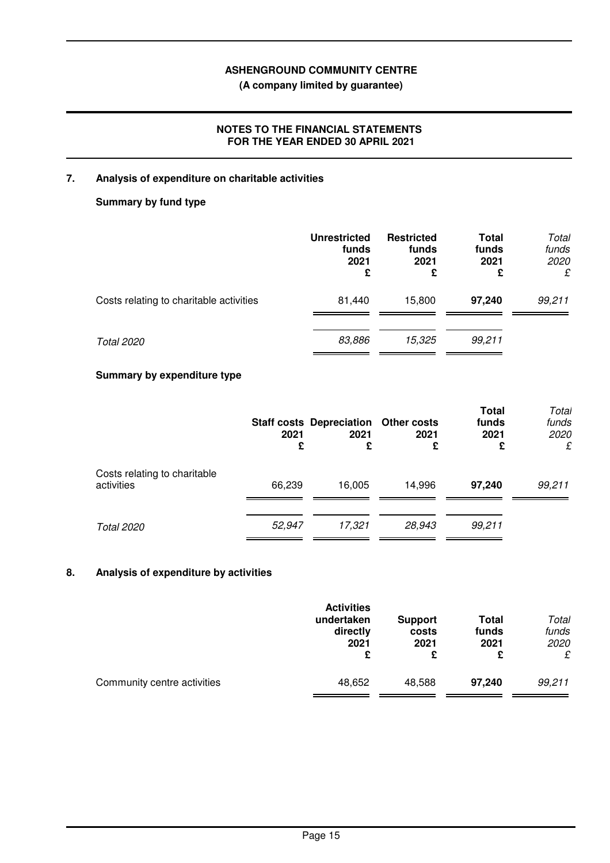**(A company limited by guarantee)**

## **NOTES TO THE FINANCIAL STATEMENTS FOR THE YEAR ENDED 30 APRIL 2021**

## **7. Analysis of expenditure on charitable activities**

## **Summary by fund type**

|                                         | <b>Unrestricted</b><br>funds<br>2021<br>£ | <b>Restricted</b><br>funds<br>2021<br>£ | <b>Total</b><br>funds<br>2021<br>£ | Total<br>funds<br>2020<br>£ |
|-----------------------------------------|-------------------------------------------|-----------------------------------------|------------------------------------|-----------------------------|
| Costs relating to charitable activities | 81,440                                    | 15,800                                  | 97.240                             | 99,211                      |
| <b>Total 2020</b>                       | 83,886                                    | 15,325                                  | 99,211                             |                             |

## **Summary by expenditure type**

|                                            | 2021<br>£ | <b>Staff costs Depreciation Other costs</b><br>2021<br>£ | 2021<br>£ | <b>Total</b><br>funds<br>2021<br>£ | Total<br>funds<br><i>2020</i><br>£ |
|--------------------------------------------|-----------|----------------------------------------------------------|-----------|------------------------------------|------------------------------------|
| Costs relating to charitable<br>activities | 66,239    | 16.005                                                   | 14.996    | 97.240                             | 99,211                             |
| Total 2020                                 | 52,947    | 17,321                                                   | 28,943    | 99,211                             |                                    |

### **8. Analysis of expenditure by activities**

|                             | <b>Activities</b><br>undertaken<br>directly<br>2021<br>£ | <b>Support</b><br>costs<br>2021 | Total<br>funds<br>2021<br>£ | Total<br>funds<br>2020<br>£ |
|-----------------------------|----------------------------------------------------------|---------------------------------|-----------------------------|-----------------------------|
| Community centre activities | 48,652                                                   | 48.588                          | 97.240                      | 99,211                      |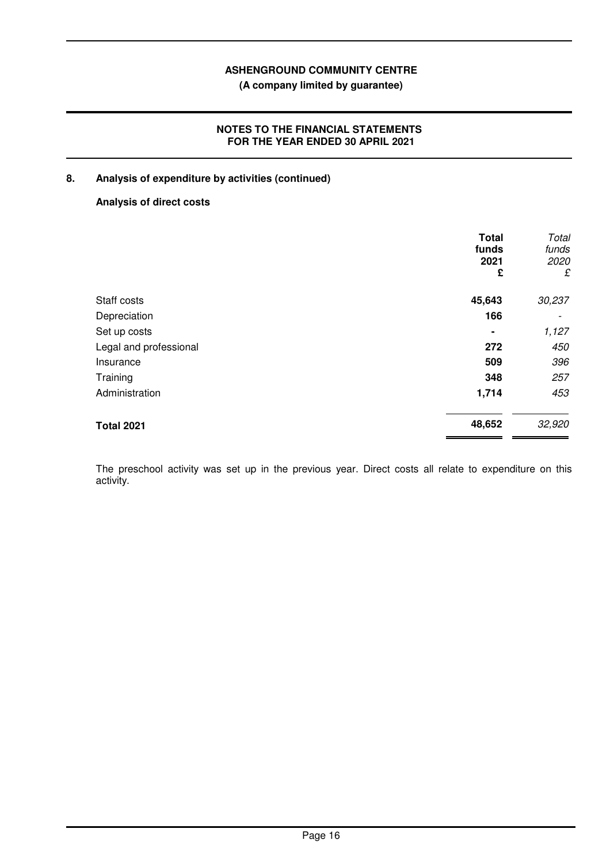**(A company limited by guarantee)**

## **NOTES TO THE FINANCIAL STATEMENTS FOR THE YEAR ENDED 30 APRIL 2021**

## **8. Analysis of expenditure by activities (continued)**

### **Analysis of direct costs**

|                        | <b>Total</b><br>funds<br>2021<br>£ | Total<br>funds<br>2020<br>£ |
|------------------------|------------------------------------|-----------------------------|
| Staff costs            | 45,643                             | 30,237                      |
| Depreciation           | 166                                |                             |
| Set up costs           | ۰                                  | 1,127                       |
| Legal and professional | 272                                | 450                         |
| Insurance              | 509                                | 396                         |
| Training               | 348                                | 257                         |
| Administration         | 1,714                              | 453                         |
| <b>Total 2021</b>      | 48,652                             | 32,920                      |

The preschool activity was set up in the previous year. Direct costs all relate to expenditure on this activity.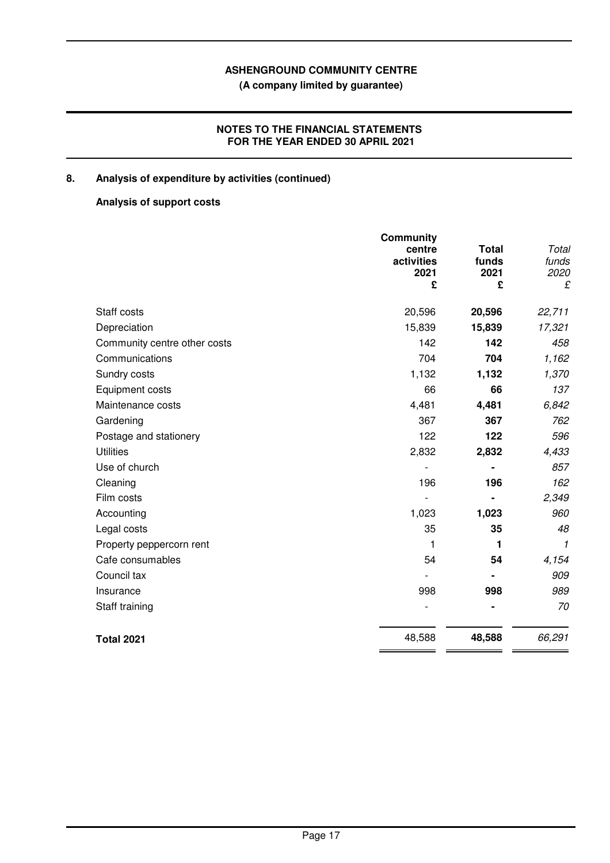**(A company limited by guarantee)**

## **NOTES TO THE FINANCIAL STATEMENTS FOR THE YEAR ENDED 30 APRIL 2021**

## **8. Analysis of expenditure by activities (continued)**

## **Analysis of support costs**

|                              | <b>Community</b><br>centre<br>activities<br>2021<br>£ | <b>Total</b><br>funds<br>2021<br>£ | Total<br>funds<br>2020<br>£ |
|------------------------------|-------------------------------------------------------|------------------------------------|-----------------------------|
| Staff costs                  | 20,596                                                | 20,596                             | 22,711                      |
| Depreciation                 | 15,839                                                | 15,839                             | 17,321                      |
| Community centre other costs | 142                                                   | 142                                | 458                         |
| Communications               | 704                                                   | 704                                | 1,162                       |
| Sundry costs                 | 1,132                                                 | 1,132                              | 1,370                       |
| Equipment costs              | 66                                                    | 66                                 | 137                         |
| Maintenance costs            | 4,481                                                 | 4,481                              | 6,842                       |
| Gardening                    | 367                                                   | 367                                | 762                         |
| Postage and stationery       | 122                                                   | 122                                | 596                         |
| <b>Utilities</b>             | 2,832                                                 | 2,832                              | 4,433                       |
| Use of church                |                                                       |                                    | 857                         |
| Cleaning                     | 196                                                   | 196                                | 162                         |
| Film costs                   |                                                       |                                    | 2,349                       |
| Accounting                   | 1,023                                                 | 1,023                              | 960                         |
| Legal costs                  | 35                                                    | 35                                 | 48                          |
| Property peppercorn rent     | 1                                                     | 1                                  | 1                           |
| Cafe consumables             | 54                                                    | 54                                 | 4,154                       |
| Council tax                  |                                                       |                                    | 909                         |
| Insurance                    | 998                                                   | 998                                | 989                         |
| Staff training               |                                                       |                                    | 70                          |
| <b>Total 2021</b>            | 48,588                                                | 48,588                             | 66,291                      |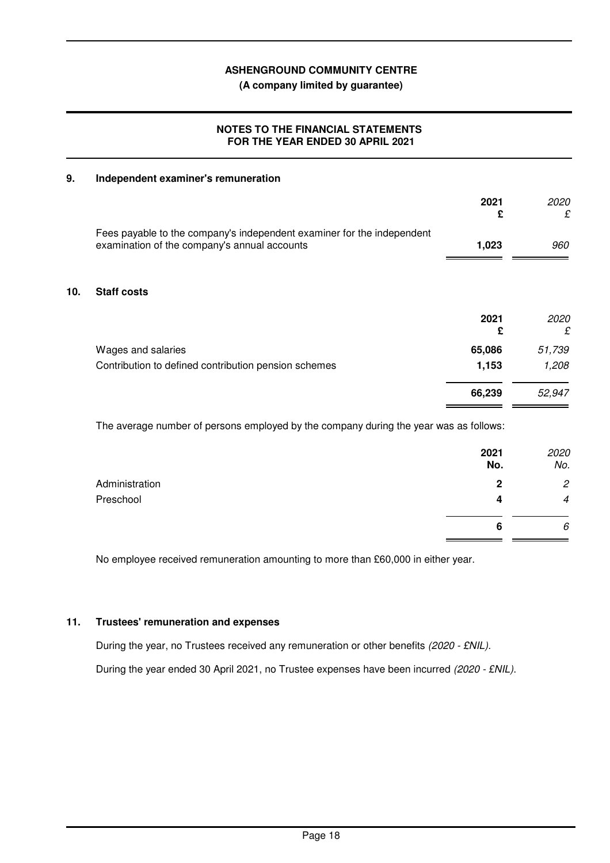**(A company limited by guarantee)**

### **NOTES TO THE FINANCIAL STATEMENTS FOR THE YEAR ENDED 30 APRIL 2021**

#### **9. Independent examiner's remuneration**

|                                                                                                                        | 2021  | 2020 |
|------------------------------------------------------------------------------------------------------------------------|-------|------|
| Fees payable to the company's independent examiner for the independent<br>examination of the company's annual accounts | 1.023 | 960  |

### **10. Staff costs**

|                                                      | 2021<br>£ | <i>2020</i><br>£ |
|------------------------------------------------------|-----------|------------------|
| Wages and salaries                                   | 65,086    | 51,739           |
| Contribution to defined contribution pension schemes | 1,153     | 1,208            |
|                                                      | 66,239    | 52.947           |
|                                                      |           |                  |

The average number of persons employed by the company during the year was as follows:

| 2021<br>No.  | 2020<br>No.    |
|--------------|----------------|
| $\mathbf{2}$ | 2              |
| Δ            | $\overline{4}$ |
| 6            | 6              |
|              |                |

No employee received remuneration amounting to more than £60,000 in either year.

## **11. Trustees' remuneration and expenses**

During the year, no Trustees received any remuneration or other benefits (2020 - £NIL). During the year ended 30 April 2021, no Trustee expenses have been incurred (2020 - £NIL).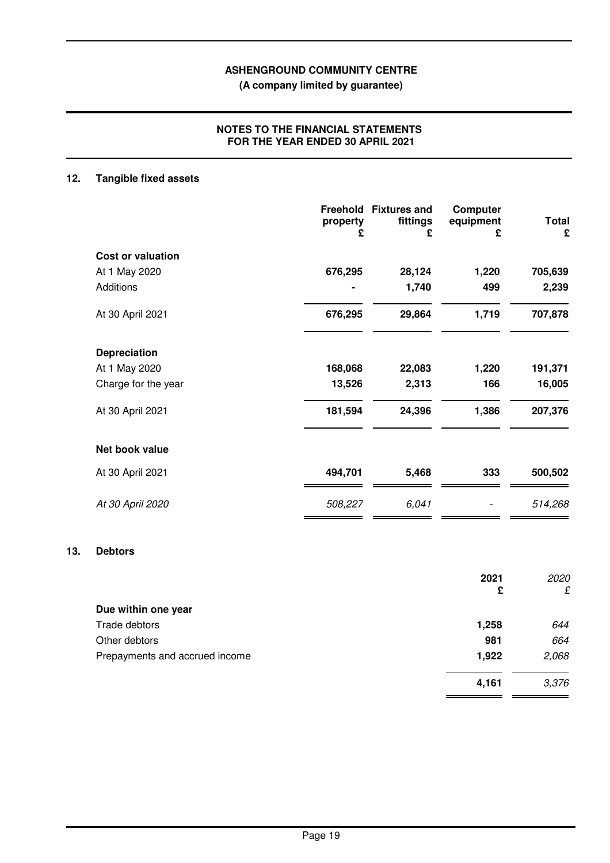**(A company limited by guarantee)**

### **NOTES TO THE FINANCIAL STATEMENTS FOR THE YEAR ENDED 30 APRIL 2021**

## **12. Tangible fixed assets**

|                          | <b>Freehold</b><br>property<br>£ | <b>Fixtures and</b><br>fittings<br>£ | <b>Computer</b><br>equipment<br>£ | <b>Total</b><br>£ |
|--------------------------|----------------------------------|--------------------------------------|-----------------------------------|-------------------|
| <b>Cost or valuation</b> |                                  |                                      |                                   |                   |
| At 1 May 2020            | 676,295                          | 28,124                               | 1,220                             | 705,639           |
| Additions                |                                  | 1,740                                | 499                               | 2,239             |
| At 30 April 2021         | 676,295                          | 29,864                               | 1,719                             | 707,878           |
| <b>Depreciation</b>      |                                  |                                      |                                   |                   |
| At 1 May 2020            | 168,068                          | 22,083                               | 1,220                             | 191,371           |
| Charge for the year      | 13,526                           | 2,313                                | 166                               | 16,005            |
| At 30 April 2021         | 181,594                          | 24,396                               | 1,386                             | 207,376           |
| Net book value           |                                  |                                      |                                   |                   |
| At 30 April 2021         | 494,701                          | 5,468                                | 333                               | 500,502           |
| At 30 April 2020         | 508,227                          | 6,041                                |                                   | 514,268           |
|                          |                                  |                                      |                                   |                   |

## **13. Debtors**

|                                | 2021  | 2020  |
|--------------------------------|-------|-------|
|                                | £     | £     |
| Due within one year            |       |       |
| Trade debtors                  | 1,258 | 644   |
| Other debtors                  | 981   | 664   |
| Prepayments and accrued income | 1,922 | 2,068 |
|                                | 4,161 | 3,376 |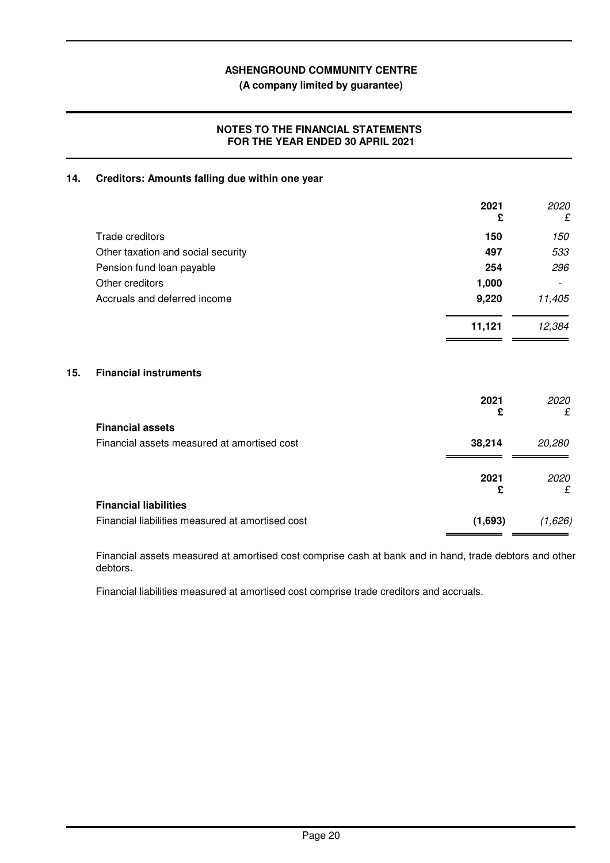**(A company limited by guarantee)**

### **NOTES TO THE FINANCIAL STATEMENTS FOR THE YEAR ENDED 30 APRIL 2021**

### **14. Creditors: Amounts falling due within one year**

|                                    | 2021<br>£ | 2020<br>£ |
|------------------------------------|-----------|-----------|
| Trade creditors                    | 150       | 150       |
| Other taxation and social security | 497       | 533       |
| Pension fund loan payable          | 254       | 296       |
| Other creditors                    | 1,000     |           |
| Accruals and deferred income       | 9,220     | 11,405    |
|                                    | 11,121    | 12,384    |

## **15. Financial instruments**

|                                                  | 2021<br>£ | <i>2020</i><br>£ |
|--------------------------------------------------|-----------|------------------|
| <b>Financial assets</b>                          |           |                  |
| Financial assets measured at amortised cost      | 38,214    | 20,280           |
|                                                  |           |                  |
|                                                  | 2021      | 2020             |
|                                                  | £         | £                |
| <b>Financial liabilities</b>                     |           |                  |
| Financial liabilities measured at amortised cost | (1,693)   | (1,626)          |

Financial assets measured at amortised cost comprise cash at bank and in hand, trade debtors and other debtors.

Financial liabilities measured at amortised cost comprise trade creditors and accruals.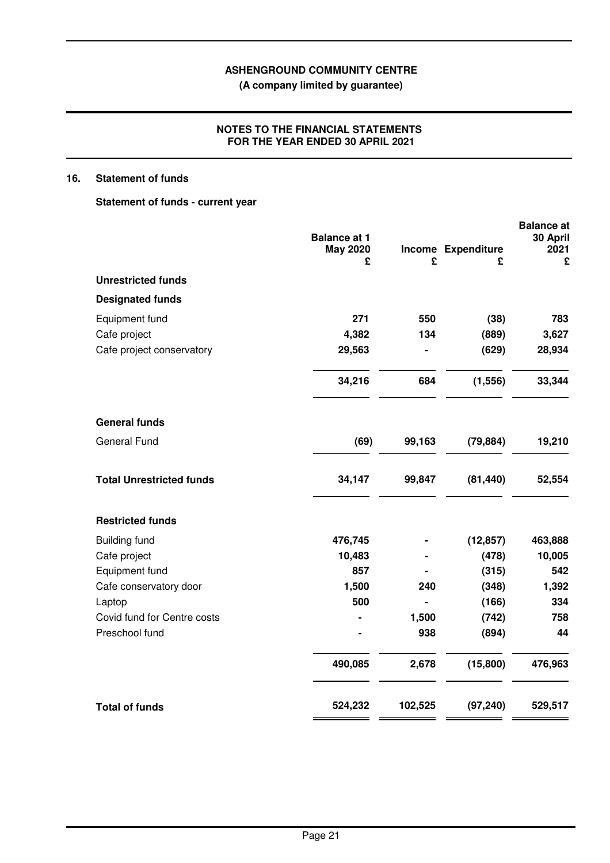**(A company limited by guarantee)**

### **NOTES TO THE FINANCIAL STATEMENTS FOR THE YEAR ENDED 30 APRIL 2021**

#### **16. Statement of funds**

## **Statement of funds - current year**

|                                 | <b>Balance at 1</b><br><b>May 2020</b> |         | Income Expenditure | <b>Balance at</b><br>30 April<br>2021 |
|---------------------------------|----------------------------------------|---------|--------------------|---------------------------------------|
|                                 | £                                      | £       | £                  | £                                     |
| <b>Unrestricted funds</b>       |                                        |         |                    |                                       |
| <b>Designated funds</b>         |                                        |         |                    |                                       |
| Equipment fund                  | 271                                    | 550     | (38)               | 783                                   |
| Cafe project                    | 4,382                                  | 134     | (889)              | 3,627                                 |
| Cafe project conservatory       | 29,563                                 |         | (629)              | 28,934                                |
|                                 | 34,216                                 | 684     | (1, 556)           | 33,344                                |
| <b>General funds</b>            |                                        |         |                    |                                       |
| <b>General Fund</b>             | (69)                                   | 99,163  | (79, 884)          | 19,210                                |
| <b>Total Unrestricted funds</b> | 34,147                                 | 99,847  | (81, 440)          | 52,554                                |
| <b>Restricted funds</b>         |                                        |         |                    |                                       |
| <b>Building fund</b>            | 476,745                                |         | (12, 857)          | 463,888                               |
| Cafe project                    | 10,483                                 |         | (478)              | 10,005                                |
| Equipment fund                  | 857                                    |         | (315)              | 542                                   |
| Cafe conservatory door          | 1,500                                  | 240     | (348)              | 1,392                                 |
| Laptop                          | 500                                    |         | (166)              | 334                                   |
| Covid fund for Centre costs     |                                        | 1,500   | (742)              | 758                                   |
| Preschool fund                  |                                        | 938     | (894)              | 44                                    |
|                                 | 490,085                                | 2,678   | (15,800)           | 476,963                               |
| <b>Total of funds</b>           | 524,232                                | 102,525 | (97, 240)          | 529,517                               |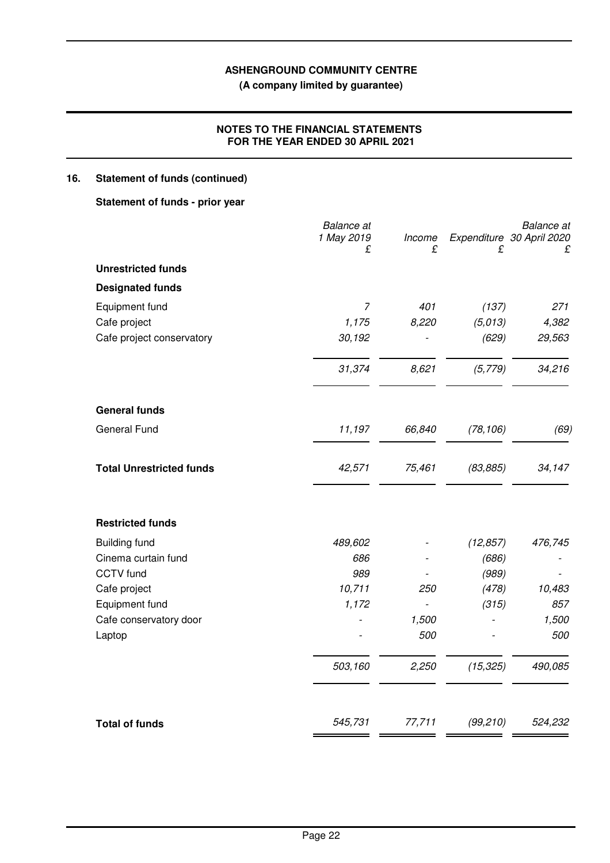**(A company limited by guarantee)**

## **NOTES TO THE FINANCIAL STATEMENTS FOR THE YEAR ENDED 30 APRIL 2021**

## **16. Statement of funds (continued)**

## **Statement of funds - prior year**

|                                 | <b>Balance</b> at<br>1 May 2019<br>£ | Income<br>£ | £         | <b>Balance</b> at<br>Expenditure 30 April 2020<br>£ |
|---------------------------------|--------------------------------------|-------------|-----------|-----------------------------------------------------|
| <b>Unrestricted funds</b>       |                                      |             |           |                                                     |
| <b>Designated funds</b>         |                                      |             |           |                                                     |
| Equipment fund                  | $\overline{z}$                       | 401         | (137)     | 271                                                 |
| Cafe project                    | 1,175                                | 8,220       | (5,013)   | 4,382                                               |
| Cafe project conservatory       | 30,192                               |             | (629)     | 29,563                                              |
|                                 | 31,374                               | 8,621       | (5, 779)  | 34,216                                              |
| <b>General funds</b>            |                                      |             |           |                                                     |
| <b>General Fund</b>             | 11,197                               | 66,840      | (78, 106) | (69)                                                |
| <b>Total Unrestricted funds</b> | 42,571                               | 75,461      | (83, 885) | 34,147                                              |
| <b>Restricted funds</b>         |                                      |             |           |                                                     |
| <b>Building fund</b>            | 489,602                              |             | (12, 857) | 476,745                                             |
| Cinema curtain fund             | 686                                  |             | (686)     |                                                     |
| <b>CCTV</b> fund                | 989                                  |             | (989)     |                                                     |
| Cafe project                    | 10,711                               | 250         | (478)     | 10,483                                              |
| Equipment fund                  | 1,172                                |             | (315)     | 857                                                 |
| Cafe conservatory door          |                                      | 1,500       |           | 1,500                                               |
| Laptop                          |                                      | 500         |           | 500                                                 |
|                                 | 503,160                              | 2,250       | (15, 325) | 490,085                                             |
| <b>Total of funds</b>           | 545,731                              | 77,711      | (99, 210) | 524,232                                             |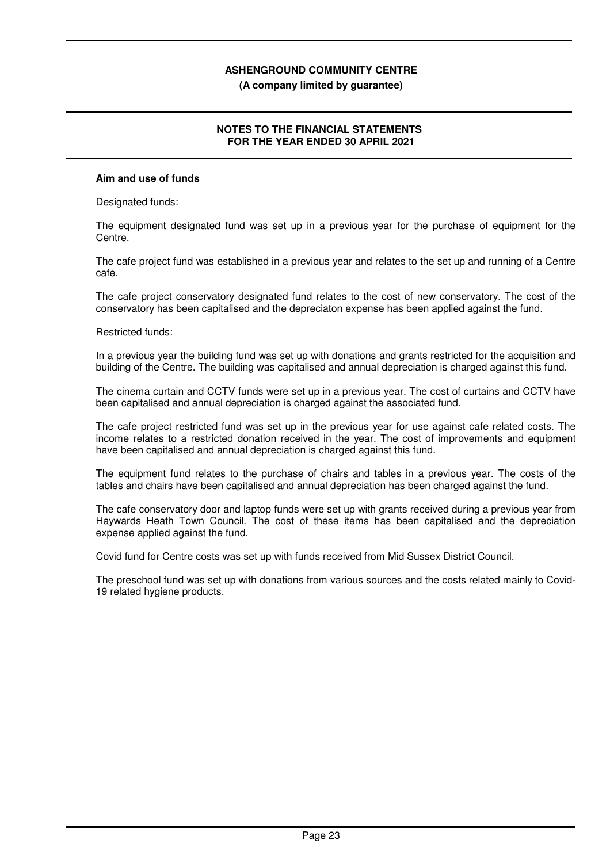**(A company limited by guarantee)**

### **NOTES TO THE FINANCIAL STATEMENTS FOR THE YEAR ENDED 30 APRIL 2021**

#### **Aim and use of funds**

Designated funds:

The equipment designated fund was set up in a previous year for the purchase of equipment for the Centre.

The cafe project fund was established in a previous year and relates to the set up and running of a Centre cafe.

The cafe project conservatory designated fund relates to the cost of new conservatory. The cost of the conservatory has been capitalised and the depreciaton expense has been applied against the fund.

#### Restricted funds:

In a previous year the building fund was set up with donations and grants restricted for the acquisition and building of the Centre. The building was capitalised and annual depreciation is charged against this fund.

The cinema curtain and CCTV funds were set up in a previous year. The cost of curtains and CCTV have been capitalised and annual depreciation is charged against the associated fund.

The cafe project restricted fund was set up in the previous year for use against cafe related costs. The income relates to a restricted donation received in the year. The cost of improvements and equipment have been capitalised and annual depreciation is charged against this fund.

The equipment fund relates to the purchase of chairs and tables in a previous year. The costs of the tables and chairs have been capitalised and annual depreciation has been charged against the fund.

The cafe conservatory door and laptop funds were set up with grants received during a previous year from Haywards Heath Town Council. The cost of these items has been capitalised and the depreciation expense applied against the fund.

Covid fund for Centre costs was set up with funds received from Mid Sussex District Council.

The preschool fund was set up with donations from various sources and the costs related mainly to Covid-19 related hygiene products.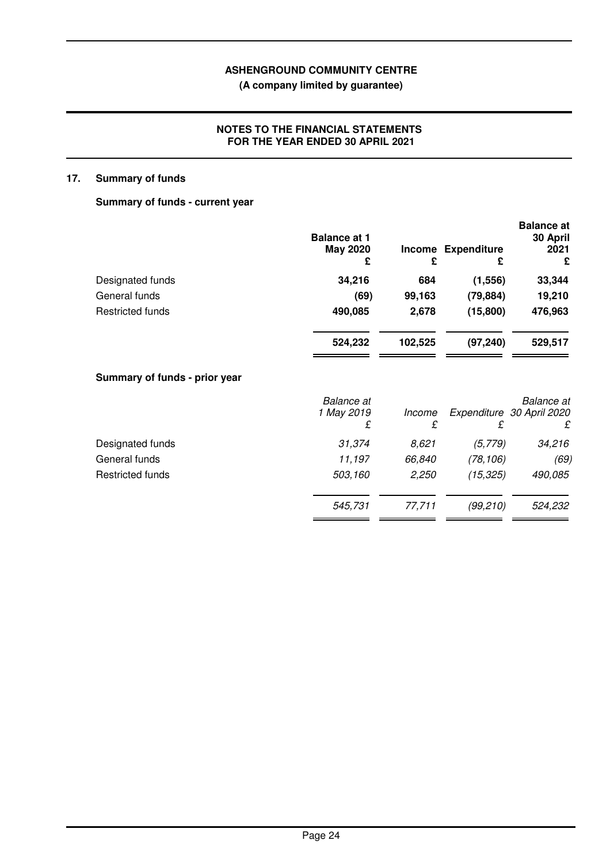**(A company limited by guarantee)**

### **NOTES TO THE FINANCIAL STATEMENTS FOR THE YEAR ENDED 30 APRIL 2021**

### **17. Summary of funds**

## **Summary of funds - current year**

|                               | <b>Balance at 1</b><br><b>May 2020</b><br>£ | <b>Income</b><br>£ | <b>Expenditure</b><br>£ | <b>Balance at</b><br>30 April<br>2021<br>£ |
|-------------------------------|---------------------------------------------|--------------------|-------------------------|--------------------------------------------|
| Designated funds              | 34,216                                      | 684                | (1, 556)                | 33,344                                     |
| General funds                 | (69)                                        | 99,163             | (79, 884)               | 19,210                                     |
| <b>Restricted funds</b>       | 490,085                                     | 2,678              | (15,800)                | 476,963                                    |
|                               | 524,232                                     | 102,525            | (97, 240)               | 529,517                                    |
| Summary of funds - prior year |                                             |                    |                         |                                            |
|                               | <b>Balance</b> at                           |                    |                         | <b>Balance</b> at                          |
|                               | 1 May 2019                                  | Income             |                         | Expenditure 30 April 2020                  |
|                               | £                                           | £                  | £                       | £                                          |
| Designated funds              | 31,374                                      | 8,621              | (5, 779)                | 34,216                                     |
| General funds                 | 11,197                                      | 66,840             | (78, 106)               | (69)                                       |
| <b>Restricted funds</b>       | 503,160                                     | 2,250              | (15, 325)               | 490,085                                    |
|                               | 545,731                                     | 77,711             | (99, 210)               | 524,232                                    |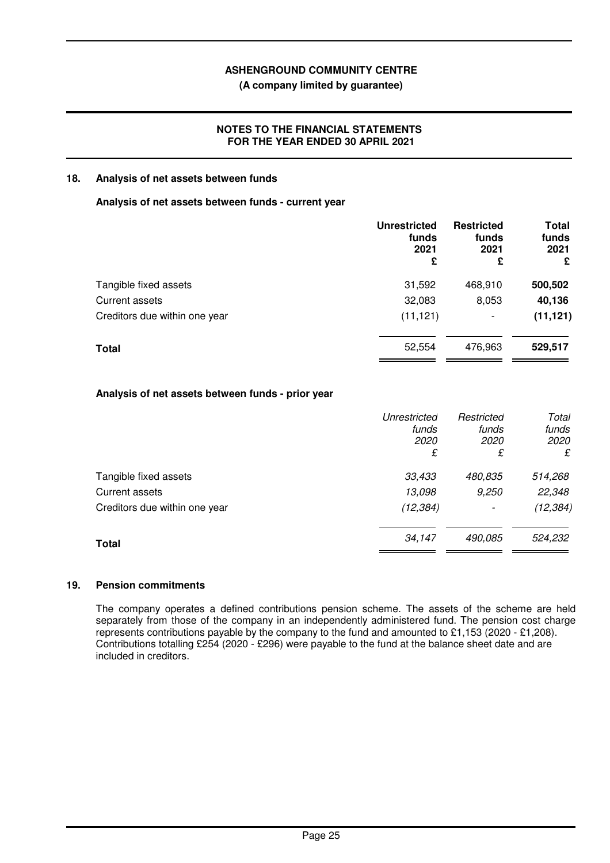**(A company limited by guarantee)**

### **NOTES TO THE FINANCIAL STATEMENTS FOR THE YEAR ENDED 30 APRIL 2021**

#### **18. Analysis of net assets between funds**

### **Analysis of net assets between funds - current year**

|                               | <b>Unrestricted</b><br>funds<br>2021<br>£ | <b>Restricted</b><br>funds<br>2021<br>£ | Total<br>funds<br>2021<br>£ |
|-------------------------------|-------------------------------------------|-----------------------------------------|-----------------------------|
| Tangible fixed assets         | 31,592                                    | 468,910                                 | 500,502                     |
| Current assets                | 32,083                                    | 8,053                                   | 40,136                      |
| Creditors due within one year | (11, 121)                                 | $\overline{\phantom{a}}$                | (11, 121)                   |
| <b>Total</b>                  | 52,554                                    | 476,963                                 | 529,517                     |

### **Analysis of net assets between funds - prior year**

|                               | Unrestricted<br>funds<br>2020<br>£ | Restricted<br>funds<br><i>2020</i><br>£ | Total<br>funds<br>2020<br>£ |
|-------------------------------|------------------------------------|-----------------------------------------|-----------------------------|
| Tangible fixed assets         | 33,433                             | 480,835                                 | 514,268                     |
| Current assets                | 13,098                             | 9,250                                   | 22,348                      |
| Creditors due within one year | (12, 384)                          | $\overline{\phantom{a}}$                | (12, 384)                   |
| <b>Total</b>                  | 34,147                             | 490,085                                 | 524,232                     |

### **19. Pension commitments**

The company operates a defined contributions pension scheme. The assets of the scheme are held separately from those of the company in an independently administered fund. The pension cost charge represents contributions payable by the company to the fund and amounted to £1,153 (2020 - £1,208). Contributions totalling £254 (2020 - £296) were payable to the fund at the balance sheet date and are included in creditors.